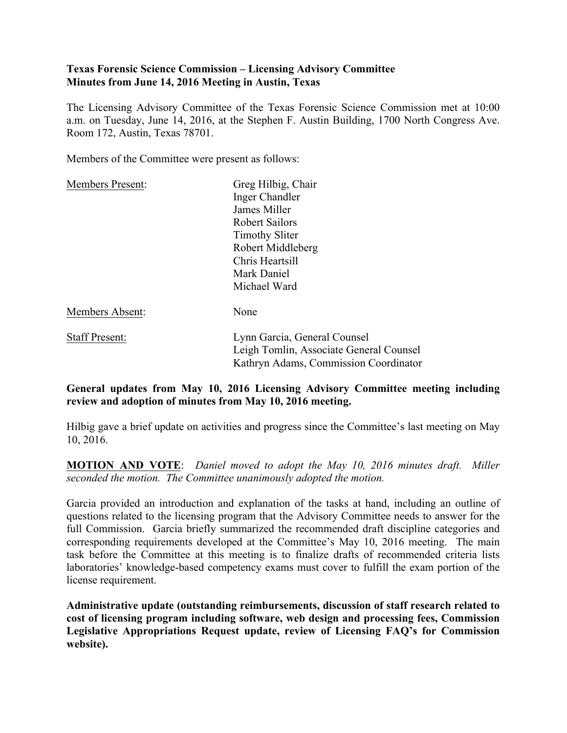## **Texas Forensic Science Commission – Licensing Advisory Committee Minutes from June 14, 2016 Meeting in Austin, Texas**

The Licensing Advisory Committee of the Texas Forensic Science Commission met at 10:00 a.m. on Tuesday, June 14, 2016, at the Stephen F. Austin Building, 1700 North Congress Ave. Room 172, Austin, Texas 78701.

Members of the Committee were present as follows:

| <b>Members Present:</b> | Greg Hilbig, Chair                                                                                               |
|-------------------------|------------------------------------------------------------------------------------------------------------------|
|                         | Inger Chandler                                                                                                   |
|                         | James Miller                                                                                                     |
|                         | <b>Robert Sailors</b>                                                                                            |
|                         | <b>Timothy Sliter</b>                                                                                            |
|                         | Robert Middleberg                                                                                                |
|                         | Chris Heartsill                                                                                                  |
|                         | Mark Daniel                                                                                                      |
|                         | Michael Ward                                                                                                     |
| Members Absent:         | None                                                                                                             |
| <b>Staff Present:</b>   | Lynn Garcia, General Counsel<br>Leigh Tomlin, Associate General Counsel<br>Kathryn Adams, Commission Coordinator |

# **General updates from May 10, 2016 Licensing Advisory Committee meeting including review and adoption of minutes from May 10, 2016 meeting.**

Hilbig gave a brief update on activities and progress since the Committee's last meeting on May 10, 2016.

**MOTION AND VOTE**: *Daniel moved to adopt the May 10, 2016 minutes draft. Miller seconded the motion. The Committee unanimously adopted the motion.*

Garcia provided an introduction and explanation of the tasks at hand, including an outline of questions related to the licensing program that the Advisory Committee needs to answer for the full Commission. Garcia briefly summarized the recommended draft discipline categories and corresponding requirements developed at the Committee's May 10, 2016 meeting. The main task before the Committee at this meeting is to finalize drafts of recommended criteria lists laboratories' knowledge-based competency exams must cover to fulfill the exam portion of the license requirement.

**Administrative update (outstanding reimbursements, discussion of staff research related to cost of licensing program including software, web design and processing fees, Commission Legislative Appropriations Request update, review of Licensing FAQ's for Commission website).**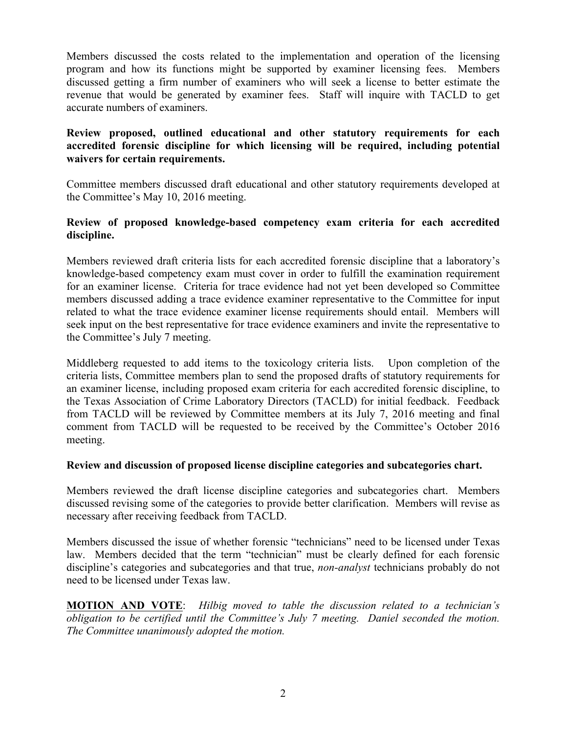Members discussed the costs related to the implementation and operation of the licensing program and how its functions might be supported by examiner licensing fees. Members discussed getting a firm number of examiners who will seek a license to better estimate the revenue that would be generated by examiner fees. Staff will inquire with TACLD to get accurate numbers of examiners.

## **Review proposed, outlined educational and other statutory requirements for each accredited forensic discipline for which licensing will be required, including potential waivers for certain requirements.**

Committee members discussed draft educational and other statutory requirements developed at the Committee's May 10, 2016 meeting.

### **Review of proposed knowledge-based competency exam criteria for each accredited discipline.**

Members reviewed draft criteria lists for each accredited forensic discipline that a laboratory's knowledge-based competency exam must cover in order to fulfill the examination requirement for an examiner license. Criteria for trace evidence had not yet been developed so Committee members discussed adding a trace evidence examiner representative to the Committee for input related to what the trace evidence examiner license requirements should entail. Members will seek input on the best representative for trace evidence examiners and invite the representative to the Committee's July 7 meeting.

Middleberg requested to add items to the toxicology criteria lists. Upon completion of the criteria lists, Committee members plan to send the proposed drafts of statutory requirements for an examiner license, including proposed exam criteria for each accredited forensic discipline, to the Texas Association of Crime Laboratory Directors (TACLD) for initial feedback. Feedback from TACLD will be reviewed by Committee members at its July 7, 2016 meeting and final comment from TACLD will be requested to be received by the Committee's October 2016 meeting.

#### **Review and discussion of proposed license discipline categories and subcategories chart.**

Members reviewed the draft license discipline categories and subcategories chart. Members discussed revising some of the categories to provide better clarification. Members will revise as necessary after receiving feedback from TACLD.

Members discussed the issue of whether forensic "technicians" need to be licensed under Texas law. Members decided that the term "technician" must be clearly defined for each forensic discipline's categories and subcategories and that true, *non-analyst* technicians probably do not need to be licensed under Texas law.

**MOTION AND VOTE**: *Hilbig moved to table the discussion related to a technician's obligation to be certified until the Committee's July 7 meeting. Daniel seconded the motion. The Committee unanimously adopted the motion.*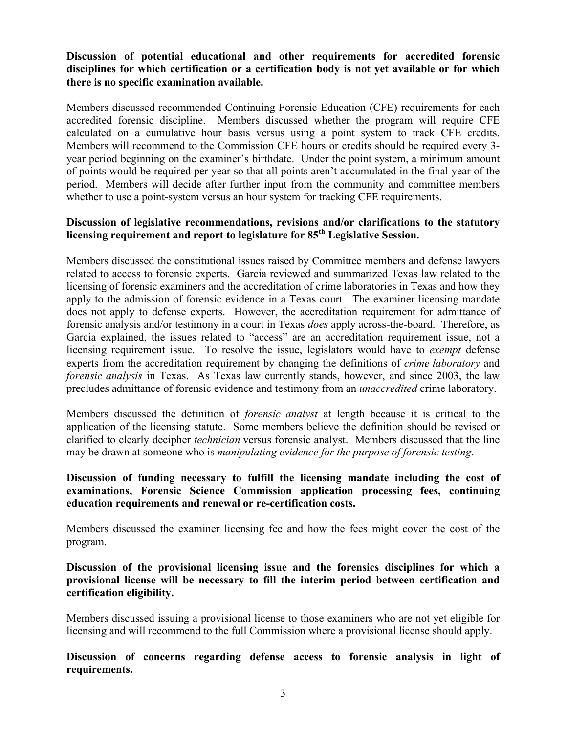## **Discussion of potential educational and other requirements for accredited forensic disciplines for which certification or a certification body is not yet available or for which there is no specific examination available.**

Members discussed recommended Continuing Forensic Education (CFE) requirements for each accredited forensic discipline. Members discussed whether the program will require CFE calculated on a cumulative hour basis versus using a point system to track CFE credits. Members will recommend to the Commission CFE hours or credits should be required every 3 year period beginning on the examiner's birthdate. Under the point system, a minimum amount of points would be required per year so that all points aren't accumulated in the final year of the period. Members will decide after further input from the community and committee members whether to use a point-system versus an hour system for tracking CFE requirements.

### **Discussion of legislative recommendations, revisions and/or clarifications to the statutory licensing requirement and report to legislature for 85th Legislative Session.**

Members discussed the constitutional issues raised by Committee members and defense lawyers related to access to forensic experts. Garcia reviewed and summarized Texas law related to the licensing of forensic examiners and the accreditation of crime laboratories in Texas and how they apply to the admission of forensic evidence in a Texas court. The examiner licensing mandate does not apply to defense experts. However, the accreditation requirement for admittance of forensic analysis and/or testimony in a court in Texas *does* apply across-the-board. Therefore, as Garcia explained, the issues related to "access" are an accreditation requirement issue, not a licensing requirement issue. To resolve the issue, legislators would have to *exempt* defense experts from the accreditation requirement by changing the definitions of *crime laboratory* and *forensic analysis* in Texas. As Texas law currently stands, however, and since 2003, the law precludes admittance of forensic evidence and testimony from an *unaccredited* crime laboratory.

Members discussed the definition of *forensic analyst* at length because it is critical to the application of the licensing statute. Some members believe the definition should be revised or clarified to clearly decipher *technician* versus forensic analyst. Members discussed that the line may be drawn at someone who is *manipulating evidence for the purpose of forensic testing*.

### **Discussion of funding necessary to fulfill the licensing mandate including the cost of examinations, Forensic Science Commission application processing fees, continuing education requirements and renewal or re-certification costs.**

Members discussed the examiner licensing fee and how the fees might cover the cost of the program.

### **Discussion of the provisional licensing issue and the forensics disciplines for which a provisional license will be necessary to fill the interim period between certification and certification eligibility.**

Members discussed issuing a provisional license to those examiners who are not yet eligible for licensing and will recommend to the full Commission where a provisional license should apply.

**Discussion of concerns regarding defense access to forensic analysis in light of requirements.**